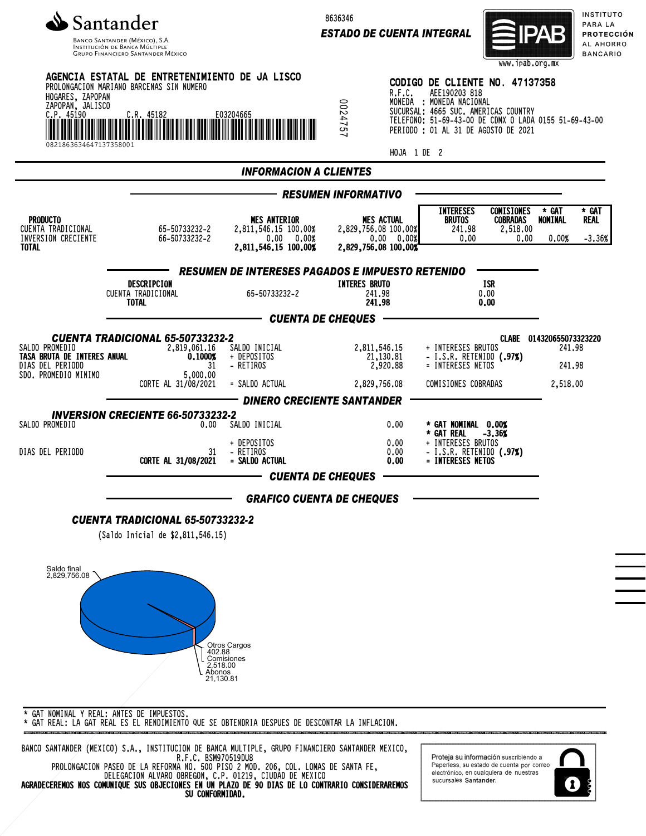

Banco Santander (México), S.A.<br>Institución de Banca Múltiple<br>Grupo Financiero Santander México

8636346

*ESTADO DE CUENTA INTEGRAL*



INSTITUTO PARA LA **PROTECCIÓN** AL AHORRO **BANCARIO** 

| HOGARES, ZAPOPAN<br>ZAPOPAN, JALISCO<br>C.P.45190<br>0821863634647137358001               | AGENCIA ESTATAL DE ENTRETENIMIENTO DE JA LISCO<br>PROLONGACION MARIANO BARCENAS SIN NUMERO<br>C.R. 45182    | E03204665                                                                         | 124757                                   | R.F.C.<br>HOJA 1 DE 2                                                           | CODIGO DE CLIENTE NO. 47137358<br>AEE190203 818<br>MONEDA : MONEDA NACIONAL<br>SUCURSAL: 4665 SUC. AMERICAS COUNTRY<br>TELEFONO: 51-69-43-00 DE CDMX O LADA 0155 51-69-43-00<br>PERIODO : 01 AL 31 DE AGOSTO DE 2021 |                                                          |                                                          |                                  |
|-------------------------------------------------------------------------------------------|-------------------------------------------------------------------------------------------------------------|-----------------------------------------------------------------------------------|------------------------------------------|---------------------------------------------------------------------------------|----------------------------------------------------------------------------------------------------------------------------------------------------------------------------------------------------------------------|----------------------------------------------------------|----------------------------------------------------------|----------------------------------|
|                                                                                           |                                                                                                             | <b>INFORMACION A CLIENTES</b>                                                     |                                          |                                                                                 |                                                                                                                                                                                                                      |                                                          |                                                          |                                  |
|                                                                                           |                                                                                                             |                                                                                   | <b>RESUMEN INFORMATIVO</b>               |                                                                                 |                                                                                                                                                                                                                      |                                                          |                                                          |                                  |
| <b>PRODUCTO</b><br>CUENTA TRADICIONAL<br>INVERSION CRECIENTE<br><b>TOTAL</b>              | 65-50733232-2<br>66-50733232-2                                                                              | <b>MES ANTERIOR</b><br>2,811,546.15 100.00%<br>0.00 0.00%<br>2,811,546.15 100.00% |                                          | <b>MES ACTUAL</b><br>2,829,756.08 100.00%<br>0.00 0.00%<br>2,829,756.08 100.00% | <b>INTERESES</b><br>BRUTOS<br>241.98<br>0.00                                                                                                                                                                         | <b>COMISIONES</b><br><b>COBRADAS</b><br>2,518.00<br>0.00 | * GAT<br>NOMINAL<br>0.00%                                | * GAT<br><b>REAL</b><br>$-3.36%$ |
|                                                                                           |                                                                                                             | <b>RESUMEN DE INTERESES PAGADOS E IMPUESTO RETENIDO</b>                           |                                          |                                                                                 |                                                                                                                                                                                                                      |                                                          |                                                          |                                  |
|                                                                                           | DESCRIPCION<br>CUENTA TRADICIONAL<br>TOTAL                                                                  | 65-50733232-2                                                                     | <b>INTERES BRUTO</b><br>241.98<br>241.98 |                                                                                 | <b>ISR</b><br>0.00<br>0.00                                                                                                                                                                                           |                                                          |                                                          |                                  |
|                                                                                           |                                                                                                             | - CUENTA DE CHEQUES                                                               |                                          |                                                                                 |                                                                                                                                                                                                                      |                                                          |                                                          |                                  |
| SALDO PROMEDIO<br>TASA BRUTA DE INTERES ANUAL<br>DIAS DEL PERIODO<br>SDO. PROMEDIO MINIMO | <b>CUENTA TRADICIONAL 65-50733232-2</b><br>2,819,061.16<br>0.1000%<br>31<br>5,000,00<br>CORTE AL 31/08/2021 | SALDO INICIAL<br>+ DEPOSITOS<br>- RETIROS<br>= SALDO ACTUAL                       |                                          | 2,811,546.15<br>21,130.81<br>2,920.88<br>2,829,756.08                           | + INTERESES BRUTOS<br>- I.S.R. RETENIDO (.97%)<br>= INTERESES NETOS<br>COMISIONES COBRADAS                                                                                                                           |                                                          | CLABE 014320655073323220<br>241.98<br>241.98<br>2,518,00 |                                  |
|                                                                                           |                                                                                                             | <b>DINERO CRECIENTE SANTANDER</b>                                                 |                                          |                                                                                 |                                                                                                                                                                                                                      |                                                          |                                                          |                                  |
| SALDO PROMEDIO                                                                            | <b>INVERSION CRECIENTE 66-50733232-2</b><br>0.00                                                            | SALDO INICIAL                                                                     |                                          | 0.00                                                                            | * GAT NOMINAL 0.00%<br>* GAT REAL                                                                                                                                                                                    | $-3.36%$                                                 |                                                          |                                  |
| DIAS DEL PERIODO                                                                          | 31<br>CORTE AL 31/08/2021                                                                                   | + DEPOSITOS<br>- RETIROS<br>= SALDO ACTUAL<br><b>CUENTA DE CHEQUES</b>            |                                          | 0.00<br>0.00<br>0.00                                                            | + INTERESES BRUTOS<br>- I.S.R. RETENIDO (.97%)<br>= INTERESES NETOS                                                                                                                                                  |                                                          |                                                          |                                  |
|                                                                                           |                                                                                                             |                                                                                   |                                          |                                                                                 |                                                                                                                                                                                                                      |                                                          |                                                          |                                  |
|                                                                                           | <b>CUENTA TRADICIONAL 65-50733232-2</b><br>(Saldo Inicial de \$2,811,546.15)                                | <b>GRAFICO CUENTA DE CHEQUES</b>                                                  |                                          |                                                                                 |                                                                                                                                                                                                                      |                                                          |                                                          |                                  |
| Saldo final<br>2,829,756.08                                                               | 402.88<br>2,518.00<br>Abonos<br>21,130.81                                                                   | Otros Cargos<br>Comisiones                                                        |                                          |                                                                                 |                                                                                                                                                                                                                      |                                                          |                                                          |                                  |

\* GAT REAL: LA GAT REAL ES EL RENDIMIENTO QUE SE OBTENDRIA DESPUES DE DESCONTAR LA INFLACION.

BANCO SANTANDER (MEXICO) S.A., INSTITUCION DE BANCA MULTIPLE, GRUPO FINANCIERO SANTANDER MEXICO, R.F.C. BSM970519DU8 PROLONGACION PASEO DE LA REFORMA NO. 500 PISO 2 MOD. 206, COL. LOMAS DE SANTA FE, DELEGACION ALVARO OBREGON, C.P. 01219, CIUDAD DE MEXICO

AGRADECEREMOS NOS COMUNIQUE SUS OBJECIONES EN UN PLAZO DE 90 DIAS DE LO CONTRARIO CONSIDERAREMOS SU CONFORMIDAD.

Proteja su información suscribiendo a Paperless, su estado de cuenta por correo<br>electrónico, en cualquiera de nuestras sucursales Santander.

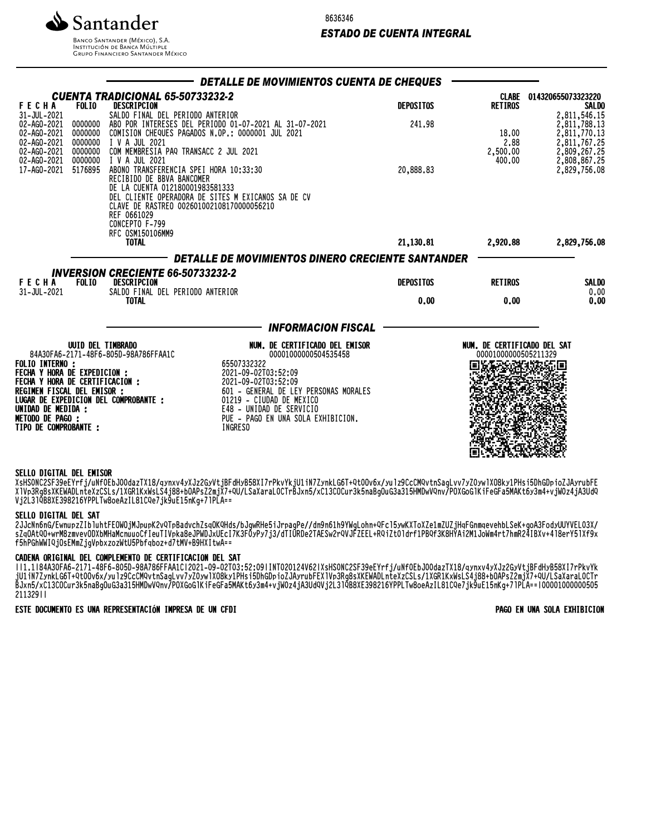8636346

# *ESTADO DE CUENTA INTEGRAL*



**INSTITUCIÓN DE BANCA MÚLTIPLE**<br>INSTITUCIÓN DE BANCA MÚLTIPLE<br>GRUPO FINANCIERO SANTANDER MÉXICO

|                                                                                                                                                                                                           |                                          |                                                                                                                                                                                                                            | DETALLE DE MOVIMIENTOS CUENTA DE CHEQUES                                                                                                                                                                                                                              |                          |                                                     |                                                              |
|-----------------------------------------------------------------------------------------------------------------------------------------------------------------------------------------------------------|------------------------------------------|----------------------------------------------------------------------------------------------------------------------------------------------------------------------------------------------------------------------------|-----------------------------------------------------------------------------------------------------------------------------------------------------------------------------------------------------------------------------------------------------------------------|--------------------------|-----------------------------------------------------|--------------------------------------------------------------|
| <b>FECHA</b><br>31-JUL-2021                                                                                                                                                                               | <b>FOLIO</b>                             | <b>CUENTA TRADICIONAL 65-50733232-2</b><br><b>DESCRIPCION</b><br>SALDO FINAL DEL PERIODO ANTERIOR                                                                                                                          |                                                                                                                                                                                                                                                                       | <b>DEPOSITOS</b>         | <b>RETIROS</b>                                      | CLABE 014320655073323220<br><b>SALDO</b><br>2,811,546.15     |
| 02-AG0-2021<br>02-AG0-2021<br>02-AG0-2021<br>02-AG0-2021<br>02-AG0-2021                                                                                                                                   | 0000000<br>0000000<br>0000000<br>0000000 | I V A JUL 2021<br>COM MEMBRESIA PAQ TRANSACC 2 JUL 2021                                                                                                                                                                    | ABO POR INTERESES DEL PERIODO 01-07-2021 AL 31-07-2021<br>COMISION CHEQUES PAGADOS N.OP.: 0000001 JUL 2021                                                                                                                                                            | 241.98                   | 18.00<br>2.88<br>2,500.00                           | 2,811,788.13<br>2,811,770.13<br>2,811,767.25<br>2,809,267.25 |
| 17-AG0-2021                                                                                                                                                                                               | 0000000<br>5176895                       | I V A JUL 2021<br>ABONO TRANSFERENCIA SPEI HORA 10:33:30<br>RECIBIDO DE BBVA BANCOMER<br>DE LA CUENTA 012180001983581333<br>CLAVE DE RASTREO 002601002108170000056210<br>REF 0661029<br>CONCEPTO F-799<br>RFC 0SM150106MM9 | DEL CLIENTE OPERADORA DE SITES M EXICANOS SA DE CV                                                                                                                                                                                                                    | 20,888.83                | 400.00                                              | 2,808,867.25<br>2,829,756.08                                 |
|                                                                                                                                                                                                           |                                          | <b>TOTAL</b>                                                                                                                                                                                                               |                                                                                                                                                                                                                                                                       | 21,130.81                | 2,920.88                                            | 2,829,756.08                                                 |
| <b>FECHA</b><br>31-JUL-2021                                                                                                                                                                               | <b>FOLIO</b>                             | <b>INVERSION CRECIENTE 66-50733232-2</b><br>DESCRIPCION<br>SALDO FINAL DEL PERIODO ANTERIOR<br><b>TOTAL</b>                                                                                                                | DETALLE DE MOVIMIENTOS DINERO CRECIENTE SANTANDER                                                                                                                                                                                                                     | <b>DEPOSITOS</b><br>0.00 | <b>RETIROS</b><br>0.00                              | <b>SALDO</b><br>0.00<br>0.00                                 |
|                                                                                                                                                                                                           |                                          |                                                                                                                                                                                                                            | <b>INFORMACION FISCAL</b>                                                                                                                                                                                                                                             |                          |                                                     |                                                              |
| <b>FOLIO INTERNO :</b><br><b>FECHA Y HORA DE EXPEDICION :</b><br>FECHA Y HORA DE CERTIFICACION :<br>REGIMEN FISCAL DEL EMISOR :<br>UNIDAD DE MEDIDA :<br><b>METODO DE PAGO :</b><br>TIPO DE COMPROBANTE : | UUID DEL TIMBRADO                        | 84A30FA6-2171-48F6-805D-98A786FFAA1C<br>LUGAR DE EXPEDICION DEL COMPROBANTE :                                                                                                                                              | NUM. DE CERTIFICADO DEL EMISOR<br>00001000000504535458<br>65507332322<br>2021-09-02T03:52:09<br>2021-09-02T03:52:09<br>601 - GENERAL DE LEY PERSONAS MORALES<br>01219 - CIUDAD DE MEXICO<br>E48 - UNIDAD DE SERVICIO<br>PUE - PAGO EN UNA SOLA EXHIBICION.<br>INGRESO |                          | NUM. DE CERTIFICADO DEL SAT<br>00001000000505211329 |                                                              |

## SELLO DIGITAL DEL EMISOR

XSH3VNCZ3F39eEYrTj/uNTVEBJ0VQdZ1X18/qynxv4yXJZZGyVtjBFQHyB38XI/rPKvYKjU1IN/ZyNKLG0T+Qt0UV0X/yulz9CCMQVtNSagLvV/yZUyWlXU8ky1PHSi3DhGUpiOZJAyrubFE XlVp3Rg8sXKEWADLnteXzCSLs/1XGR1KxWsLS4j88+bOAPsZ2mjX7+QU/LSaXaraL0CTrBJxn5/xC13COCur3k5naBgOuG3a315HMDwVQnv/POXGoGlKiFeGFa5MAKt6y3m4+vjW0z4jA3UdQ Vj2L3lQB8XE398216YPPLTw8oeAzIL81CQe7jk9uE15nKg+7lPLA==

## SELLO DIGITAL DEL SAT

2JJcNn6nG/EwnupzZIbluhtFEOWOjMJpupK2vQTpBadvchZsqOKQHds/bJgwRHe5iJrpagPe//dn9n61h9YWgLohn+QFcl5ywKXToXZe1mZUZjHqFGnmqevehbLSeK+goA3FodyUUYVEL03X/ SZQUAtQU+wrM8ZMVeVUDADMMQMCMUOCTIeUTIVPKQ8eJPWDJXUECI/K3FUYPY/j3/QTIURDeZTAESWZFQVJFZEEL+RQ1Zt0luTTIPBQT3K8MYAIZM1JOWM4rt/NMKZ4IBXV+4l8erY5lXT9X f5hPGhWWIQjOsEMmZjgVpbxzozWtU5Pbfqboz+d7tMV+B9HXItwA==

#### CADENA ORIGINAL DEL COMPLEMENTO DE CERTIFICACION DEL SAT

||1.1|84A30FA6-2171-48F6-805D-98A786FFAA1C|2021-09-02T03:52:09|INT020124V62|XsHS0NC2SF39eEYrfj/uNf0EbJ00dazTX18/qynxv4yXJz2GyVtjBFdHyB58XI7rPkvYk jU1iN7ZynkLG6T+Qt0Ov6x/yulz9CcCMQvtnSagLvv7yZ0ywlXO8ky1PHsi5DhGDpioZJAyrubFEXlVp3Rg8sXKEWADLnteXzCSLs/1XGR1KxWsLS4j88+bOAPsZ2mjX7+QU/LSaXaraL0CTr BJxn5/xC13COCur3k5naBgOuG3a315HMDwVQnv/POXGoGlKiFeGFa5MAKt6y3m4+vjW0z4jA3UdQVj2L3lQB8XE398216YPPLTw8oeAzIL81CQe7jk9uE15nKg+7lPLA==|00001000000505 211329||

## ESTE DOCUMENTO ES UNA REPRESENTACIÓN IMPRESA DE UN CFDI PAGO EN UNA SOLA EXHIBICION